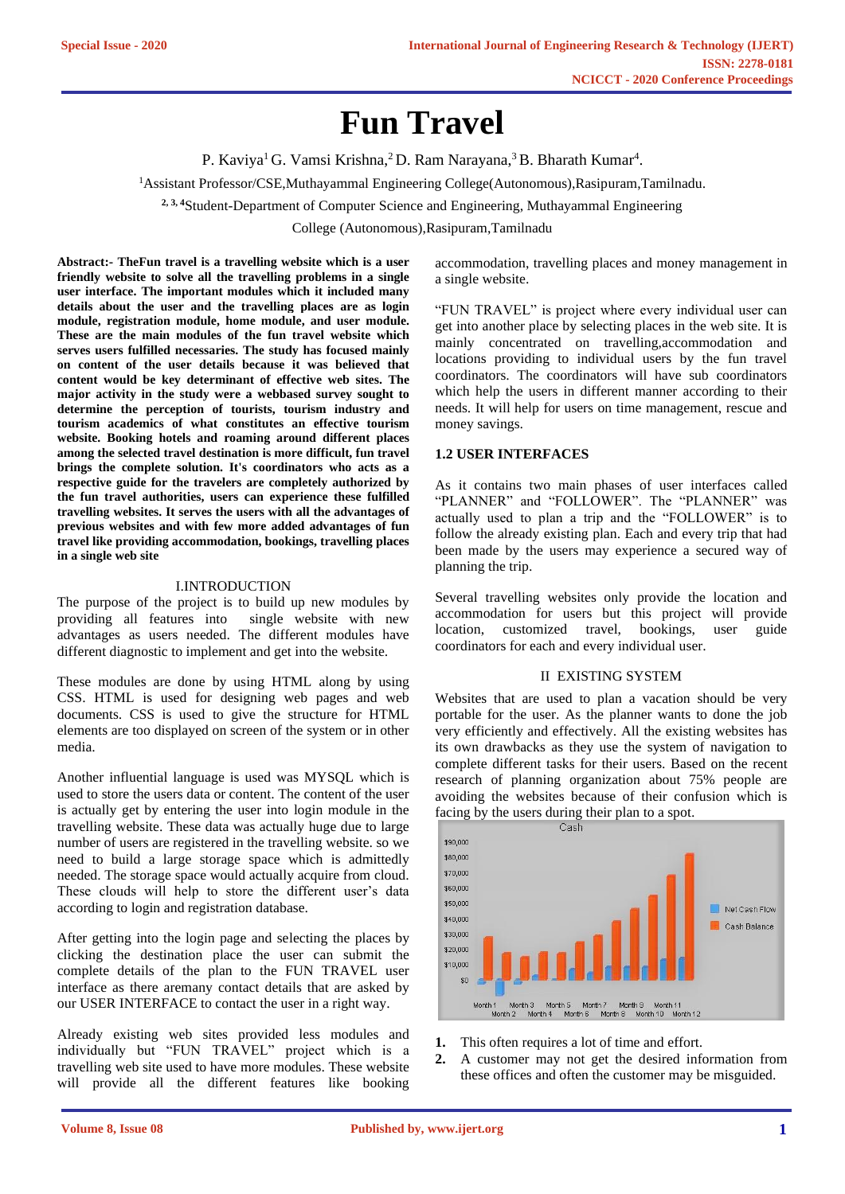# **Fun Travel**

P. Kaviya<sup>1</sup> G. Vamsi Krishna,<sup>2</sup> D. Ram Narayana,<sup>3</sup> B. Bharath Kumar<sup>4</sup>.

<sup>1</sup>Assistant Professor/CSE,Muthayammal Engineering College(Autonomous),Rasipuram,Tamilnadu.

**2, 3, 4**Student-Department of Computer Science and Engineering, Muthayammal Engineering

College (Autonomous),Rasipuram,Tamilnadu

**Abstract:- TheFun travel is a travelling website which is a user friendly website to solve all the travelling problems in a single user interface. The important modules which it included many details about the user and the travelling places are as login module, registration module, home module, and user module. These are the main modules of the fun travel website which serves users fulfilled necessaries. The study has focused mainly on content of the user details because it was believed that content would be key determinant of effective web sites. The major activity in the study were a webbased survey sought to determine the perception of tourists, tourism industry and tourism academics of what constitutes an effective tourism website. Booking hotels and roaming around different places among the selected travel destination is more difficult, fun travel brings the complete solution. It's coordinators who acts as a respective guide for the travelers are completely authorized by the fun travel authorities, users can experience these fulfilled travelling websites. It serves the users with all the advantages of previous websites and with few more added advantages of fun travel like providing accommodation, bookings, travelling places in a single web site**

# I.INTRODUCTION

The purpose of the project is to build up new modules by providing all features into single website with new advantages as users needed. The different modules have different diagnostic to implement and get into the website.

These modules are done by using HTML along by using CSS. HTML is used for designing web pages and web documents. CSS is used to give the structure for HTML elements are too displayed on screen of the system or in other media.

Another influential language is used was MYSQL which is used to store the users data or content. The content of the user is actually get by entering the user into login module in the travelling website. These data was actually huge due to large number of users are registered in the travelling website. so we need to build a large storage space which is admittedly needed. The storage space would actually acquire from cloud. These clouds will help to store the different user's data according to login and registration database.

After getting into the login page and selecting the places by clicking the destination place the user can submit the complete details of the plan to the FUN TRAVEL user interface as there aremany contact details that are asked by our USER INTERFACE to contact the user in a right way.

Already existing web sites provided less modules and individually but "FUN TRAVEL" project which is a travelling web site used to have more modules. These website will provide all the different features like booking accommodation, travelling places and money management in a single website.

"FUN TRAVEL" is project where every individual user can get into another place by selecting places in the web site. It is mainly concentrated on travelling,accommodation and locations providing to individual users by the fun travel coordinators. The coordinators will have sub coordinators which help the users in different manner according to their needs. It will help for users on time management, rescue and money savings.

## **1.2 USER INTERFACES**

As it contains two main phases of user interfaces called "PLANNER" and "FOLLOWER". The "PLANNER" was actually used to plan a trip and the "FOLLOWER" is to follow the already existing plan. Each and every trip that had been made by the users may experience a secured way of planning the trip.

Several travelling websites only provide the location and accommodation for users but this project will provide location, customized travel, bookings, user guide coordinators for each and every individual user.

## II EXISTING SYSTEM

Websites that are used to plan a vacation should be very portable for the user. As the planner wants to done the job very efficiently and effectively. All the existing websites has its own drawbacks as they use the system of navigation to complete different tasks for their users. Based on the recent research of planning organization about 75% people are avoiding the websites because of their confusion which is facing by the users during their plan to a spot.



- **1.** This often requires a lot of time and effort.
- **2.** A customer may not get the desired information from these offices and often the customer may be misguided.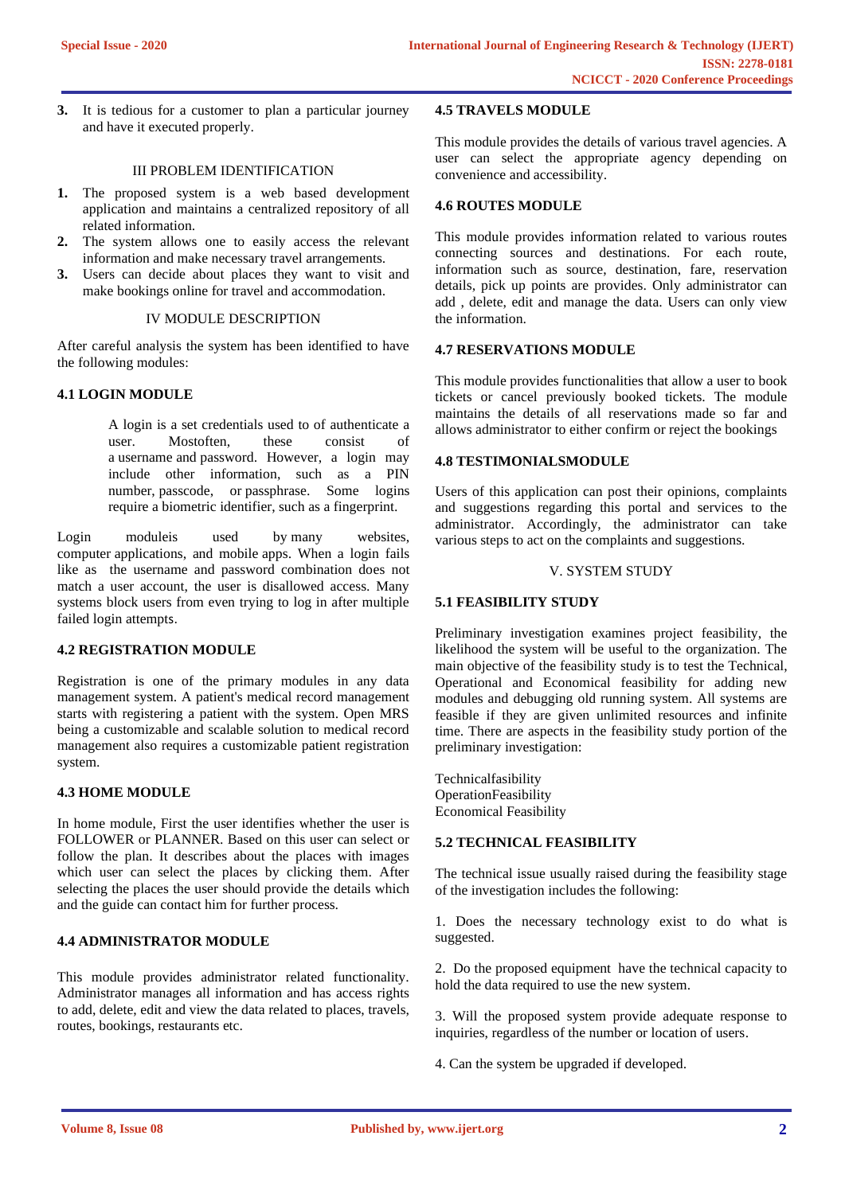**3.** It is tedious for a customer to plan a particular journey and have it executed properly.

# III PROBLEM IDENTIFICATION

- **1.** The proposed system is a web based development application and maintains a centralized repository of all related information.
- **2.** The system allows one to easily access the relevant information and make necessary travel arrangements.
- **3.** Users can decide about places they want to visit and make bookings online for travel and accommodation.

## IV MODULE DESCRIPTION

After careful analysis the system has been identified to have the following modules:

# **4.1 LOGIN MODULE**

A login is a set credentials used to of authenticate a user. Mostoften, these consist of a [username](https://techterms.com/definition/username) and [password.](https://techterms.com/definition/password) However, a login may include other information, such as a PIN number, [passcode,](https://techterms.com/definition/passcode) or [passphrase.](https://techterms.com/definition/passphrase) Some logins require a [biometric](https://techterms.com/definition/biometrics) identifier, such as a fingerprint.

Login moduleis used by many [websites,](https://techterms.com/definition/website) computer [applications,](https://techterms.com/definition/application) and mobile [apps.](https://techterms.com/definition/app) When a login fails like as the username and password combination does not match a user account, the user is disallowed access. Many systems block users from even trying to log in after multiple failed login attempts.

# **4.2 REGISTRATION MODULE**

Registration is one of the primary modules in any data management system. A patient's medical record management starts with registering a patient with the system. Open MRS being a customizable and scalable solution to medical record management also requires a customizable patient registration system.

# **4.3 HOME MODULE**

In home module, First the user identifies whether the user is FOLLOWER or PLANNER. Based on this user can select or follow the plan. It describes about the places with images which user can select the places by clicking them. After selecting the places the user should provide the details which and the guide can contact him for further process.

# **4.4 ADMINISTRATOR MODULE**

This module provides administrator related functionality. Administrator manages all information and has access rights to add, delete, edit and view the data related to places, travels, routes, bookings, restaurants etc.

#### **4.5 TRAVELS MODULE**

This module provides the details of various travel agencies. A user can select the appropriate agency depending on convenience and accessibility.

#### **4.6 ROUTES MODULE**

This module provides information related to various routes connecting sources and destinations. For each route, information such as source, destination, fare, reservation details, pick up points are provides. Only administrator can add , delete, edit and manage the data. Users can only view the information.

# **4.7 RESERVATIONS MODULE**

This module provides functionalities that allow a user to book tickets or cancel previously booked tickets. The module maintains the details of all reservations made so far and allows administrator to either confirm or reject the bookings

## **4.8 TESTIMONIALSMODULE**

Users of this application can post their opinions, complaints and suggestions regarding this portal and services to the administrator. Accordingly, the administrator can take various steps to act on the complaints and suggestions.

# V. SYSTEM STUDY

# **5.1 FEASIBILITY STUDY**

Preliminary investigation examines project feasibility, the likelihood the system will be useful to the organization. The main objective of the feasibility study is to test the Technical, Operational and Economical feasibility for adding new modules and debugging old running system. All systems are feasible if they are given unlimited resources and infinite time. There are aspects in the feasibility study portion of the preliminary investigation:

Technicalfasibility **OperationFeasibility** Economical Feasibility

## **5.2 TECHNICAL FEASIBILITY**

The technical issue usually raised during the feasibility stage of the investigation includes the following:

1. Does the necessary technology exist to do what is suggested.

2. Do the proposed equipment have the technical capacity to hold the data required to use the new system.

3. Will the proposed system provide adequate response to inquiries, regardless of the number or location of users.

4. Can the system be upgraded if developed.